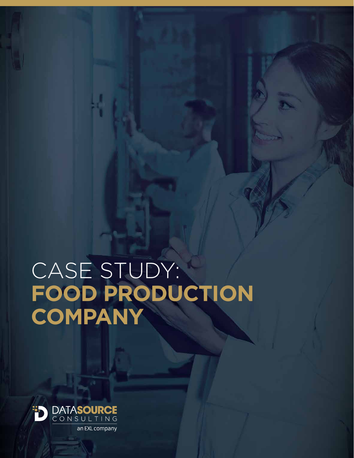# CASE STUDY: **FOOD PRODUCTION COMPANY**

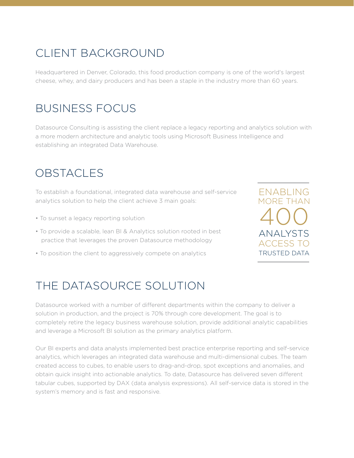# CLIENT BACKGROUND

Headquartered in Denver, Colorado, this food production company is one of the world's largest cheese, whey, and dairy producers and has been a staple in the industry more than 60 years.

## BUSINESS FOCUS

Datasource Consulting is assisting the client replace a legacy reporting and analytics solution with a more modern architecture and analytic tools using Microsoft Business Intelligence and establishing an integrated Data Warehouse.

# OBSTACLES

To establish a foundational, integrated data warehouse and self-service analytics solution to help the client achieve 3 main goals:

- To sunset a legacy reporting solution
- To provide a scalable, lean BI & Analytics solution rooted in best practice that leverages the proven Datasource methodology
- To position the client to aggressively compete on analytics

ACCESS TO TRUSTED DATA ANALYSTS ENABLING MORE THAN 400

# THE DATASOURCE SOLUTION

Datasource worked with a number of different departments within the company to deliver a solution in production, and the project is 70% through core development. The goal is to completely retire the legacy business warehouse solution, provide additional analytic capabilities and leverage a Microsoft BI solution as the primary analytics platform.

Our BI experts and data analysts implemented best practice enterprise reporting and self-service analytics, which leverages an integrated data warehouse and multi-dimensional cubes. The team created access to cubes, to enable users to drag-and-drop, spot exceptions and anomalies, and obtain quick insight into actionable analytics. To date, Datasource has delivered seven different tabular cubes, supported by DAX (data analysis expressions). All self-service data is stored in the system's memory and is fast and responsive.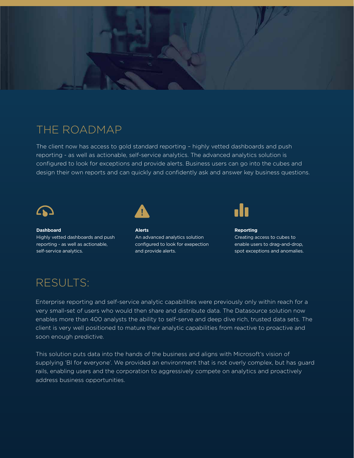

### THE ROADMAP

The client now has access to gold standard reporting – highly vetted dashboards and push reporting - as well as actionable, self-service analytics. The advanced analytics solution is configured to look for exceptions and provide alerts. Business users can go into the cubes and design their own reports and can quickly and confidently ask and answer key business questions.



**Dashboard** Highly vetted dashboards and push reporting - as well as actionable, self-service analytics.



**Alerts** An advanced analytics solution configured to look for exepection and provide alerts.



**Reporting** Creating access to cubes to enable users to drag-and-drop, spot exceptions and anomalies.

# RESULTS:

Enterprise reporting and self-service analytic capabilities were previously only within reach for a very small-set of users who would then share and distribute data. The Datasource solution now enables more than 400 analysts the ability to self-serve and deep dive rich, trusted data sets. The client is very well positioned to mature their analytic capabilities from reactive to proactive and soon enough predictive.

This solution puts data into the hands of the business and aligns with Microsoft's vision of supplying 'BI for everyone'. We provided an environment that is not overly complex, but has guard rails, enabling users and the corporation to aggressively compete on analytics and proactively address business opportunities.